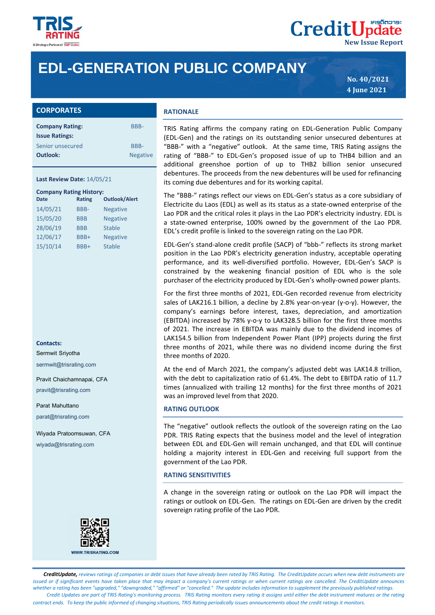

# **EDL-GENERATION PUBLIC COMPANY**

**No. 40/2021 4 June 2021**

**New Issue Report**

**CreditUpdate** 

| <b>CORPORATES</b>      |                 |  |
|------------------------|-----------------|--|
| <b>Company Rating:</b> | <b>BBB-</b>     |  |
| <b>Issue Ratings:</b>  |                 |  |
| Senior unsecured       | <b>BBB-</b>     |  |
| Outlook:               | <b>Negative</b> |  |

### **Last Review Date:** 14/05/21

| <b>Company Rating History:</b> |               |                      |  |  |
|--------------------------------|---------------|----------------------|--|--|
| <b>Date</b>                    | <b>Rating</b> | <b>Outlook/Alert</b> |  |  |
| 14/05/21                       | BBB-          | <b>Negative</b>      |  |  |
| 15/05/20                       | <b>BBB</b>    | <b>Negative</b>      |  |  |
| 28/06/19                       | <b>BBB</b>    | <b>Stable</b>        |  |  |
| 12/06/17                       | BBB+          | <b>Negative</b>      |  |  |
| 15/10/14                       | BBB+          | <b>Stable</b>        |  |  |

#### **Contacts:**

Sermwit Sriyotha sermwit@trisrating.com

Pravit Chaichamnapai, CFA pravit@trisrating.com

Parat Mahuttano

parat@trisrating.com

Wiyada Pratoomsuwan, CFA wiyada@trisrating.com



## **RATIONALE**

TRIS Rating affirms the company rating on EDL-Generation Public Company (EDL-Gen) and the ratings on its outstanding senior unsecured debentures at "BBB-" with a "negative" outlook. At the same time, TRIS Rating assigns the rating of "BBB-" to EDL-Gen's proposed issue of up to THB4 billion and an additional greenshoe portion of up to THB2 billion senior unsecured debentures. The proceeds from the new debentures will be used for refinancing its coming due debentures and for its working capital.

The "BBB-" ratings reflect our views on EDL-Gen's status as a core subsidiary of Electricite du Laos (EDL) as well as its status as a state-owned enterprise of the Lao PDR and the critical roles it plays in the Lao PDR's electricity industry. EDL is a state-owned enterprise, 100% owned by the government of the Lao PDR. EDL's credit profile is linked to the sovereign rating on the Lao PDR.

EDL-Gen's stand-alone credit profile (SACP) of "bbb-" reflects its strong market position in the Lao PDR's electricity generation industry, acceptable operating performance, and its well-diversified portfolio. However, EDL-Gen's SACP is constrained by the weakening financial position of EDL who is the sole purchaser of the electricity produced by EDL-Gen's wholly-owned power plants.

For the first three months of 2021, EDL-Gen recorded revenue from electricity sales of LAK216.1 billion, a decline by 2.8% year-on-year (y-o-y). However, the company's earnings before interest, taxes, depreciation, and amortization (EBITDA) increased by 78% y-o-y to LAK328.5 billion for the first three months of 2021. The increase in EBITDA was mainly due to the dividend incomes of LAK154.5 billion from Independent Power Plant (IPP) projects during the first three months of 2021, while there was no dividend income during the first three months of 2020.

At the end of March 2021, the company's adjusted debt was LAK14.8 trillion, with the debt to capitalization ratio of 61.4%. The debt to EBITDA ratio of 11.7 times (annualized with trailing 12 months) for the first three months of 2021 was an improved level from that 2020.

#### **RATING OUTLOOK**

The "negative" outlook reflects the outlook of the sovereign rating on the Lao PDR. TRIS Rating expects that the business model and the level of integration between EDL and EDL-Gen will remain unchanged, and that EDL will continue holding a majority interest in EDL-Gen and receiving full support from the government of the Lao PDR.

## **RATING SENSITIVITIES**

A change in the sovereign rating or outlook on the Lao PDR will impact the ratings or outlook on EDL-Gen. The ratings on EDL-Gen are driven by the credit sovereign rating profile of the Lao PDR.

 *CreditUpdate, reviews ratings of companies or debt issues that have already been rated by TRIS Rating. The CreditUpdate occurs when new debt instruments are issued or if significant events have taken place that may impact a company's current ratings or when current ratings are cancelled. The CreditUpdate announces whether a rating has been "upgraded," "downgraded," "affirmed" or "cancelled." The update includes information to supplement the previously published ratings. Credit Updates are part of TRIS Rating's monitoring process. TRIS Rating monitors every rating it assigns until either the debt instrument matures or the rating contract ends. To keep the public informed of changing situations, TRIS Rating periodically issues announcements about the credit ratings it monitors.*